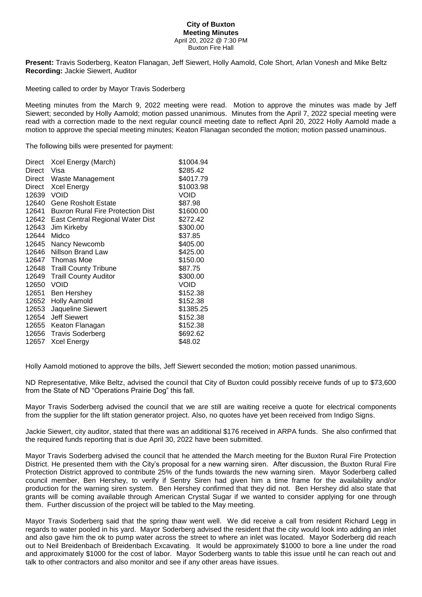## **City of Buxton Meeting Minutes** April 20, 2022 @ 7:30 PM Buxton Fire Hall

**Present:** Travis Soderberg, Keaton Flanagan, Jeff Siewert, Holly Aamold, Cole Short, Arlan Vonesh and Mike Beltz **Recording:** Jackie Siewert, Auditor

Meeting called to order by Mayor Travis Soderberg

Meeting minutes from the March 9, 2022 meeting were read. Motion to approve the minutes was made by Jeff Siewert; seconded by Holly Aamold; motion passed unanimous. Minutes from the April 7, 2022 special meeting were read with a correction made to the next regular council meeting date to reflect April 20, 2022 Holly Aamold made a motion to approve the special meeting minutes; Keaton Flanagan seconded the motion; motion passed unaminous.

The following bills were presented for payment:

| Direct | Xcel Energy (March)                      | \$1004.94 |
|--------|------------------------------------------|-----------|
| Direct | Visa                                     | \$285.42  |
| Direct | Waste Management                         | \$4017.79 |
| Direct | Xcel Energy                              | \$1003.98 |
| 12639  | <b>VOID</b>                              | Void      |
| 12640  | <b>Gene Rosholt Estate</b>               | \$87.98   |
| 12641  | <b>Buxron Rural Fire Protection Dist</b> | \$1600.00 |
| 12642  | East Central Regional Water Dist         | \$272.42  |
| 12643  | Jim Kirkeby                              | \$300.00  |
| 12644  | Midco                                    | \$37.85   |
| 12645  | Nancy Newcomb                            | \$405.00  |
| 12646  | Nillson Brand Law                        | \$425.00  |
|        | 12647 Thomas Moe                         | \$150.00  |
| 12648  | <b>Traill County Tribune</b>             | \$87.75   |
| 12649  | <b>Traill County Auditor</b>             | \$300.00  |
| 12650  | VOID                                     | VOID      |
| 12651  | Ben Hershey                              | \$152.38  |
| 12652  | <b>Holly Aamold</b>                      | \$152.38  |
| 12653  | Jaqueline Siewert                        | \$1385.25 |
| 12654  | <b>Jeff Siewert</b>                      | \$152.38  |
| 12655  | Keaton Flanagan                          | \$152.38  |
| 12656  | <b>Travis Soderberg</b>                  | \$692.62  |
| 12657  | <b>Xcel Energy</b>                       | \$48.02   |
|        |                                          |           |

Holly Aamold motioned to approve the bills, Jeff Siewert seconded the motion; motion passed unanimous.

ND Representative, Mike Beltz, advised the council that City of Buxton could possibly receive funds of up to \$73,600 from the State of ND "Operations Prairie Dog" this fall.

Mayor Travis Soderberg advised the council that we are still are waiting receive a quote for electrical components from the supplier for the lift station generator project. Also, no quotes have yet been received from Indigo Signs.

Jackie Siewert, city auditor, stated that there was an additional \$176 received in ARPA funds. She also confirmed that the required funds reporting that is due April 30, 2022 have been submitted.

Mayor Travis Soderberg advised the council that he attended the March meeting for the Buxton Rural Fire Protection District. He presented them with the City's proposal for a new warning siren. After discussion, the Buxton Rural Fire Protection District approved to contribute 25% of the funds towards the new warning siren. Mayor Soderberg called council member, Ben Hershey, to verify if Sentry Siren had given him a time frame for the availability and/or production for the warning siren system. Ben Hershey confirmed that they did not. Ben Hershey did also state that grants will be coming available through American Crystal Sugar if we wanted to consider applying for one through them. Further discussion of the project will be tabled to the May meeting.

Mayor Travis Soderberg said that the spring thaw went well. We did receive a call from resident Richard Legg in regards to water pooled in his yard. Mayor Soderberg advised the resident that the city would look into adding an inlet and also gave him the ok to pump water across the street to where an inlet was located. Mayor Soderberg did reach out to Neil Breidenbach of Breidenbach Excavating. It would be approximately \$1000 to bore a line under the road and approximately \$1000 for the cost of labor. Mayor Soderberg wants to table this issue until he can reach out and talk to other contractors and also monitor and see if any other areas have issues.